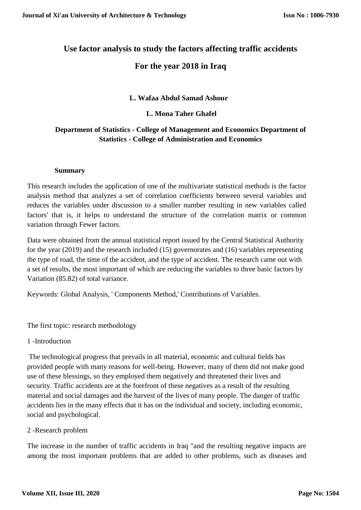# **Use factor analysis to study the factors affecting traffic accidents For the year 2018 in Iraq**

# **L. Wafaa Abdul Samad Ashour**

## **L. Mona Taher Ghafel**

# **Department of Statistics - College of Management and Economics Department of Statistics - College of Administration and Economics**

#### **Summary**

This research includes the application of one of the multivariate statistical methods is the factor analysis method that analyzes a set of correlation coefficients between several variables and reduces the variables under discussion to a smaller number resulting in new variables called factors' that is, it helps to understand the structure of the correlation matrix or common variation through Fewer factors.

Data were obtained from the annual statistical report issued by the Central Statistical Authority for the year (2019) and the research included (15) governorates and (16) variables representing the type of road, the time of the accident, and the type of accident. The research came out with a set of results, the most important of which are reducing the variables to three basic factors by Variation (85.82) of total variance.

Keywords: Global Analysis, ' Components Method,' Contributions of Variables.

The first topic: research methodology

1 -Introduction

The technological progress that prevails in all material, economic and cultural fields has provided people with many reasons for well-being. However, many of them did not make good use of these blessings, so they employed them negatively and threatened their lives and security. Traffic accidents are at the forefront of these negatives as a result of the resulting material and social damages and the harvest of the lives of many people. The danger of traffic accidents lies in the many effects that it has on the individual and society, including economic, social and psychological.

## 2 -Research problem

The increase in the number of traffic accidents in Iraq "and the resulting negative impacts are among the most important problems that are added to other problems, such as diseases and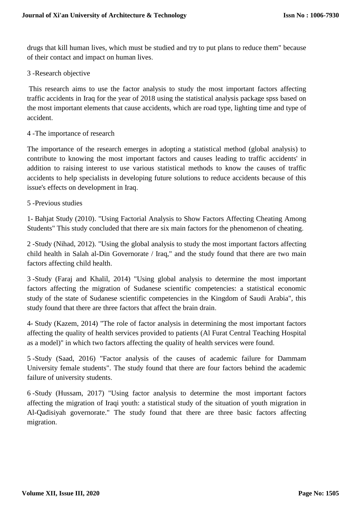drugs that kill human lives, which must be studied and try to put plans to reduce them" because of their contact and impact on human lives.

3 -Research objective

This research aims to use the factor analysis to study the most important factors affecting traffic accidents in Iraq for the year of 2018 using the statistical analysis package spss based on the most important elements that cause accidents, which are road type, lighting time and type of accident.

4 -The importance of research

The importance of the research emerges in adopting a statistical method (global analysis) to contribute to knowing the most important factors and causes leading to traffic accidents' in addition to raising interest to use various statistical methods to know the causes of traffic accidents to help specialists in developing future solutions to reduce accidents because of this issue's effects on development in Iraq.

5 -Previous studies

1- Bahjat Study (2010). "Using Factorial Analysis to Show Factors Affecting Cheating Among Students" This study concluded that there are six main factors for the phenomenon of cheating.

2 -Study (Nihad, 2012). "Using the global analysis to study the most important factors affecting child health in Salah al-Din Governorate / Iraq," and the study found that there are two main factors affecting child health.

3 -Study (Faraj and Khalil, 2014) "Using global analysis to determine the most important factors affecting the migration of Sudanese scientific competencies: a statistical economic study of the state of Sudanese scientific competencies in the Kingdom of Saudi Arabia", this study found that there are three factors that affect the brain drain.

4- Study (Kazem, 2014) "The role of factor analysis in determining the most important factors affecting the quality of health services provided to patients (Al Furat Central Teaching Hospital as a model)" in which two factors affecting the quality of health services were found.

5 -Study (Saad, 2016) "Factor analysis of the causes of academic failure for Dammam University female students". The study found that there are four factors behind the academic failure of university students.

6 -Study (Hussam, 2017) "Using factor analysis to determine the most important factors affecting the migration of Iraqi youth: a statistical study of the situation of youth migration in Al-Qadisiyah governorate." The study found that there are three basic factors affecting migration.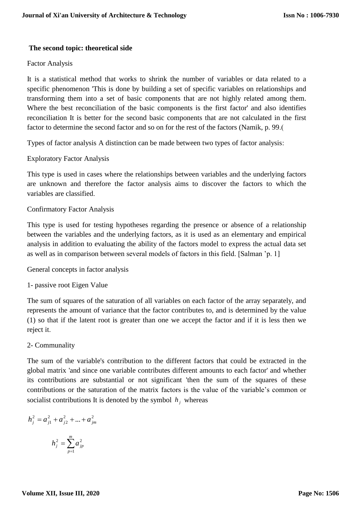## **The second topic: theoretical side**

#### Factor Analysis

It is a statistical method that works to shrink the number of variables or data related to a specific phenomenon 'This is done by building a set of specific variables on relationships and transforming them into a set of basic components that are not highly related among them. Where the best reconciliation of the basic components is the first factor' and also identifies reconciliation It is better for the second basic components that are not calculated in the first factor to determine the second factor and so on for the rest of the factors (Namik, p. 99.)

Types of factor analysis A distinction can be made between two types of factor analysis:

## Exploratory Factor Analysis

This type is used in cases where the relationships between variables and the underlying factors are unknown and therefore the factor analysis aims to discover the factors to which the variables are classified.

## Confirmatory Factor Analysis

This type is used for testing hypotheses regarding the presence or absence of a relationship between the variables and the underlying factors, as it is used as an elementary and empirical analysis in addition to evaluating the ability of the factors model to express the actual data set as well as in comparison between several models of factors in this field. [Salman 'p. 1]

General concepts in factor analysis

1- passive root Eigen Value

The sum of squares of the saturation of all variables on each factor of the array separately, and represents the amount of variance that the factor contributes to, and is determined by the value (1) so that if the latent root is greater than one we accept the factor and if it is less then we reject it.

#### 2- Communality

The sum of the variable's contribution to the different factors that could be extracted in the global matrix 'and since one variable contributes different amounts to each factor' and whether its contributions are substantial or not significant 'then the sum of the squares of these contributions or the saturation of the matrix factors is the value of the variable's common or socialist contributions It is denoted by the symbol  $h_j$  whereas

$$
h_j^2 = a_{j1}^2 + a_{j2}^2 + \dots + a_{jm}^2
$$

$$
h_j^2=\sum_{p=1}^m a_{jp}^2
$$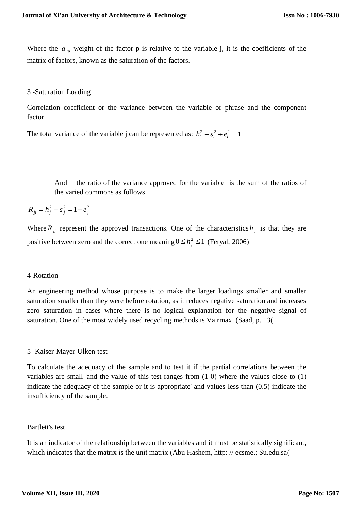Where the  $a_{jp}$  weight of the factor p is relative to the variable j, it is the coefficients of the matrix of factors, known as the saturation of the factors.

#### 3 -Saturation Loading

Correlation coefficient or the variance between the variable or phrase and the component factor.

The total variance of the variable j can be represented as:  $h_i^2 + s_i^2 + e_i^2 = 1$ 

And the ratio of the variance approved for the variable is the sum of the ratios of the varied commons as follows

$$
R_{jj} = h_j^2 + s_j^2 = 1 - e_j^2
$$

Where  $R_{ij}$  represent the approved transactions. One of the characteristics  $h_j$  is that they are positive between zero and the correct one meaning  $0 \le h_j^2 \le 1$  (Feryal, 2006)

#### 4-Rotation

An engineering method whose purpose is to make the larger loadings smaller and smaller saturation smaller than they were before rotation, as it reduces negative saturation and increases zero saturation in cases where there is no logical explanation for the negative signal of saturation. One of the most widely used recycling methods is Vairmax. (Saad, p. 13)

## 5- Kaiser-Mayer-Ulken test

To calculate the adequacy of the sample and to test it if the partial correlations between the variables are small 'and the value of this test ranges from (1-0) where the values close to (1) indicate the adequacy of the sample or it is appropriate' and values less than (0.5) indicate the insufficiency of the sample.

#### Bartlett's test

It is an indicator of the relationship between the variables and it must be statistically significant, which indicates that the matrix is the unit matrix (Abu Hashem, http:  $\theta$  ecsme.; Su.edu.sa(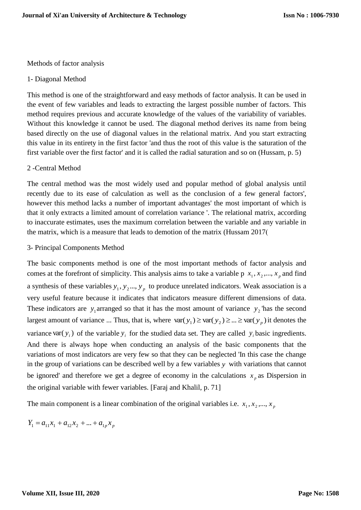Methods of factor analysis

#### 1- Diagonal Method

This method is one of the straightforward and easy methods of factor analysis. It can be used in the event of few variables and leads to extracting the largest possible number of factors. This method requires previous and accurate knowledge of the values of the variability of variables. Without this knowledge it cannot be used. The diagonal method derives its name from being based directly on the use of diagonal values in the relational matrix. And you start extracting this value in its entirety in the first factor 'and thus the root of this value is the saturation of the first variable over the first factor' and it is called the radial saturation and so on (Hussam, p. 5)

#### 2 -Central Method

The central method was the most widely used and popular method of global analysis until recently due to its ease of calculation as well as the conclusion of a few general factors', however this method lacks a number of important advantages' the most important of which is that it only extracts a limited amount of correlation variance '. The relational matrix, according to inaccurate estimates, uses the maximum correlation between the variable and any variable in the matrix, which is a measure that leads to demotion of the matrix (Hussam 2017)

#### 3- Principal Components Method

The basic components method is one of the most important methods of factor analysis and comes at the forefront of simplicity. This analysis aims to take a variable p  $x_1, x_2, ..., x_p$  and find a synthesis of these variables  $y_1, y_2, ..., y_p$  to produce unrelated indicators. Weak association is a very useful feature because it indicates that indicators measure different dimensions of data. These indicators are  $y_1$  arranged so that it has the most amount of variance  $y_2$  has the second largest amount of variance ... Thus, that is, where  $var(y_1) \geq var(y_2) \geq ... \geq var(y_p)$  it denotes the variance var( $y_i$ ) of the variable  $y_i$  for the studied data set. They are called  $y_i$  basic ingredients. And there is always hope when conducting an analysis of the basic components that the variations of most indicators are very few so that they can be neglected 'In this case the change in the group of variations can be described well by a few variables *y* with variations that cannot be ignored' and therefore we get a degree of economy in the calculations  $x_p$  as Dispersion in the original variable with fewer variables. [Faraj and Khalil, p. 71]

The main component is a linear combination of the original variables i.e.  $x_1, x_2, ..., x_p$ 

 $Y_1 = a_{11}x_1 + a_{12}x_2 + \dots + a_{1n}x_n$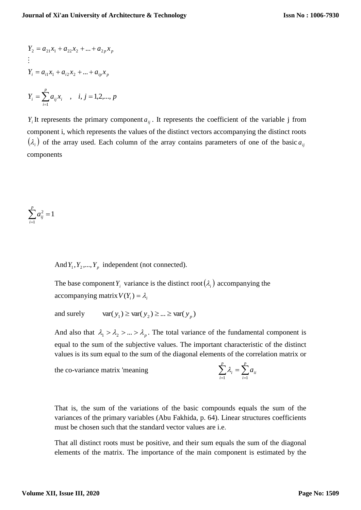$$
Y_2 = a_{21}x_1 + a_{22}x_2 + \dots + a_{2p}x_p
$$
  
\n:  
\n:  
\n
$$
Y_i = a_{i1}x_1 + a_{i2}x_2 + \dots + a_{ip}x_p
$$
  
\n
$$
Y_i = \sum_{i=1}^p a_{ij}x_i , \quad i, j = 1, 2, \dots, p
$$

 $Y_i$  It represents the primary component  $a_{ij}$ . It represents the coefficient of the variable j from component i, which represents the values of the distinct vectors accompanying the distinct roots  $(\lambda_i)$  of the array used. Each column of the array contains parameters of one of the basic  $a_{ij}$ components

$$
\sum_{i=1}^p a_{ij}^2 = 1
$$

And  $Y_1, Y_2, ..., Y_p$  independent (not connected).

The base component  $Y_i$  variance is the distinct root  $(\lambda_i)$  accompanying the accompanying matrix  $V(Y_i) = \lambda_i$ 

 $var(y_1) \geq var(y_2) \geq ... \geq var(y_p)$ and surely

And also that  $\lambda_1 > \lambda_2 > ... > \lambda_p$ . The total variance of the fundamental component is equal to the sum of the subjective values. The important characteristic of the distinct values is its sum equal to the sum of the diagonal elements of the correlation matrix or

the co-variance matrix 'meaning

$$
\sum_{i=1}^p \lambda_i = \sum_{i=1}^p a_{ii}
$$

That is, the sum of the variations of the basic compounds equals the sum of the variances of the primary variables (Abu Fakhida, p. 64). Linear structures coefficients must be chosen such that the standard vector values are i.e.

That all distinct roots must be positive, and their sum equals the sum of the diagonal elements of the matrix. The importance of the main component is estimated by the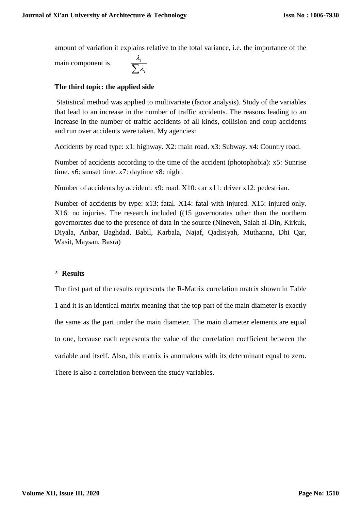amount of variation it explains relative to the total variance, i.e. the importance of the

main component is.

 $\sum\lambda_i$ *i*  $\lambda$ .  $\lambda$ .

# **The third topic: the applied side**

Statistical method was applied to multivariate (factor analysis). Study of the variables that lead to an increase in the number of traffic accidents. The reasons leading to an increase in the number of traffic accidents of all kinds, collision and coup accidents and run over accidents were taken. My agencies:

Accidents by road type: x1: highway. X2: main road. x3: Subway. x4: Country road.

Number of accidents according to the time of the accident (photophobia): x5: Sunrise time. x6: sunset time. x7: daytime x8: night.

Number of accidents by accident: x9: road. X10: car x11: driver x12: pedestrian.

Number of accidents by type: x13: fatal. X14: fatal with injured. X15: injured only. X16: no injuries. The research included ((15 governorates other than the northern governorates due to the presence of data in the source (Nineveh, Salah al-Din, Kirkuk, Diyala, Anbar, Baghdad, Babil, Karbala, Najaf, Qadisiyah, Muthanna, Dhi Qar, Wasit, Maysan, Basra)

## **\* Results**

The first part of the results represents the R-Matrix correlation matrix shown in Table 1 and it is an identical matrix meaning that the top part of the main diameter is exactly the same as the part under the main diameter. The main diameter elements are equal to one, because each represents the value of the correlation coefficient between the variable and itself. Also, this matrix is anomalous with its determinant equal to zero. There is also a correlation between the study variables.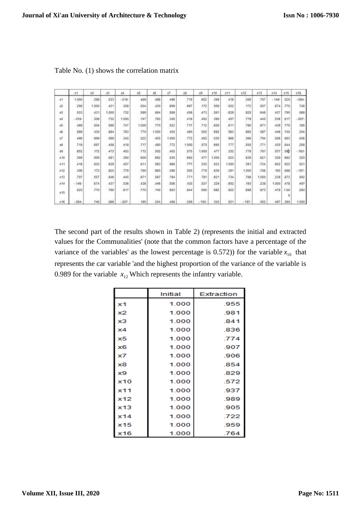|              | xt      | $\times 2$ | x3    | X4       | x5    | x6    | хT    | хā    | xū     | x10   | 311    | x12            | x13   | x14     | x15         | X16     |
|--------------|---------|------------|-------|----------|-------|-------|-------|-------|--------|-------|--------|----------------|-------|---------|-------------|---------|
| x1           | 1,000   | 296        | 033   | $-0.18-$ | 489   | 086   | 496   | 719   | :652   | 399   | 416    | 306            | 707   | $-146-$ | 520         | $-004-$ |
| x2           | 298     | 1.000      | .431  | 308      | 504   | ,430  | 899   | 697   | 172    | 509   | 932    | .172           | 557   | 674     | 330         | 746     |
| 13           | 033     | 431        | 1.000 | 732      | 589   | 884   | 589   | 458   | 473    | 591   | .629   | 825            | :646  | :437    | 790         | 088     |
| 34           | 018-    | 308        | 732   | 1,000    | 747   | 783   | 345   | 418   | 452    | 390   | 457    | 778            | 445   | 536     | 617         | 007     |
| E            | 489     | 504        | 589   | 747      | 1.000 | 770   | 522   | 717   | 712    | 600   | 611    | 780            | 671   | 438     | 770         | 185     |
| 16           | 086     | 430        | 884   | 783      | 770   | 1.000 | 455   | 480   | 502    | 692   | 563    | 865            | 587   | 446     | 740         | 204     |
| $\mathbf{z}$ | 496     | 899        | 589   | 345      | 522   | 455   | 1.000 | 772   | .402   | 535   | 968    | 366            | 794   | 506     | 903         | 458     |
| xğ           | 719     | 697        | 458   | 418      | 717   | 480   | .772  | 1.000 | 575    | 690   | 777    | .500           | 771   | 430     | 844         | 258     |
| x2           | 552     | 172        | 473   | 452      | 712   | 502   | 402   | 575   | 1.000  | 477   | 332    | 778            | 791   | 037     | 59 <b>b</b> | $-193-$ |
| x10          | 399     | 509        | 591   | 390      | 600   | 692   | 535   | 690   | 477    | 1.000 | 523    | 639            | 621   | 329     | 682         | 320     |
| x11          | 416     | 932        | 629   | 457      | 611   | 563   | 968   | 777   | 332    | 523   | 1,000  | 391            | 734   | .602    | 922         | 521     |
| x12          | 306     | 172        | 825   | 778      | 700   | 965   | 366   | 500   | :778   | 639   | $-391$ | 1.000          | .706  | $-193$  | 696         | $-197-$ |
| x13          | 707     | 557        | 846   | 445      | 871   | 587   | 794   | 771   | 781    | 821   | 734    | 706            | 1.000 | 238     | 873         | 002     |
| x14          | $-146-$ | 674        | 437   | 536      | ,438  | ,446  | 506   | 430   | .027   | 329   | 602    | ,193           | 23B   | 1.000   | 478         | 497     |
| x15          | 520     | 770        | 790   | 617      | .770  | 740   | 903   | 844   | 590    | 682   | 922    | .698           | 873   | 478     | 1.00<br>٥   | 280     |
| E16          | $-084-$ | 746        | 088   | $-007 -$ | 185   | 204   | 456   | 258   | $-193$ | 320   | 521    | 179<br>$-197-$ | 002   | 497     | 280         | 1.000   |

Table No. (1) shows the correlation matrix

The second part of the results shown in Table 2) (represents the initial and extracted values for the Communalities' (note that the common factors have a percentage of the variance of the variables' as the lowest percentage is  $(0.572)$ ) for the variable  $x_{10}$  that represents the car variable 'and the highest proportion of the variance of the variable is 0.989 for the variable  $x_{12}$  Which represents the infantry variable.

|     | Initial | Extraction |
|-----|---------|------------|
| x1  | 1.000   | .955       |
| x2  | 1.000   | .981       |
| xЗ  | 1.000   | .841       |
| x4  | 1.000   | .836       |
| x5  | 1.000   | .774       |
| x6  | 1.000   | .907       |
| x7  | 1.000   | .906       |
| x8  | 1.000   | .854       |
| x9  | 1.000   | .829       |
| x10 | 1.000   | .572       |
| x11 | 1.000   | .937       |
| x12 | 1.000   | .989       |
| x13 | 1.000   | .905       |
| x14 | 1.000   | .722       |
| x15 | 1.000   | .959       |
| x16 | 1.000   | .764       |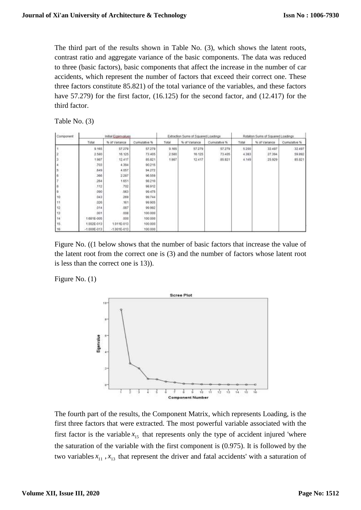The third part of the results shown in Table No. (3), which shows the latent roots, contrast ratio and aggregate variance of the basic components. The data was reduced to three (basic factors), basic components that affect the increase in the number of car accidents, which represent the number of factors that exceed their correct one. These three factors constitute 85.821) of the total variance of the variables, and these factors have 57.279) for the first factor,  $(16.125)$  for the second factor, and  $(12.417)$  for the third factor.

Table No. (3)

| Component | indial Expenvalues |                 |                     |       | Extraction Sums of Squared Loadings |              | Rotation Sums of Squared Loadings |               |              |  |
|-----------|--------------------|-----------------|---------------------|-------|-------------------------------------|--------------|-----------------------------------|---------------|--------------|--|
|           | Total              | % of Variance   | <b>Cumulative %</b> | Total | % of Variance                       | Cumulative % | Total                             | % of Variance | Cumulative % |  |
|           | 9.165              | 57.279          | 57.279              | 9.165 | 57.279                              | 57,279       | 5.200                             | 32.497        | 32.497       |  |
|           | 2 580              | 16.125          | 73.405              | 2580  | 16.125                              | 73.405       | 4.383                             | 27.394        | 59.892       |  |
|           | 1,987              | 12.417          | 85.821              | 1,987 | 12 417                              | 85.821       | 4.149                             | 25.929        | 85.821       |  |
|           | 703                | 4.394           | 90.215              |       |                                     |              |                                   |               |              |  |
|           | 549                | 4.057           | 94.272              |       |                                     |              |                                   |               |              |  |
|           | 366                | 2.287           | 96.559              |       |                                     |              |                                   |               |              |  |
|           | 264                | 1.651           | 98.210              |       |                                     |              |                                   |               |              |  |
|           | 112                | 702             | 98.912              |       |                                     |              |                                   |               |              |  |
| э         | 090                | 563             | 99.475              |       |                                     |              |                                   |               |              |  |
| 10        | 043                | 269             | 99.744              |       |                                     |              |                                   |               |              |  |
| 11        | 326                | .161            | 99.905              |       |                                     |              |                                   |               |              |  |
| 12        | 014                | .087            | 99.992              |       |                                     |              |                                   |               |              |  |
| 13        | :001               | 008             | 100.000             |       |                                     |              |                                   |               |              |  |
| 14        | 1.681E-005         | 000             | 100.000             |       |                                     |              |                                   |               |              |  |
| 15        | 1.002E-013         | 1.011E-013      | 100.000             |       |                                     |              |                                   |               |              |  |
| 18        | $-1.000E - 013$    | $-1.001E - 013$ | 100.000             |       |                                     |              |                                   |               |              |  |

Figure No. ((1 below shows that the number of basic factors that increase the value of the latent root from the correct one is (3) and the number of factors whose latent root is less than the correct one is 13)).

Figure No. (1)



The fourth part of the results, the Component Matrix, which represents Loading, is the first three factors that were extracted. The most powerful variable associated with the first factor is the variable  $x_{15}$  that represents only the type of accident injured 'where the saturation of the variable with the first component is (0.975). It is followed by the two variables  $x_{11}$ ,  $x_{13}$  that represent the driver and fatal accidents' with a saturation of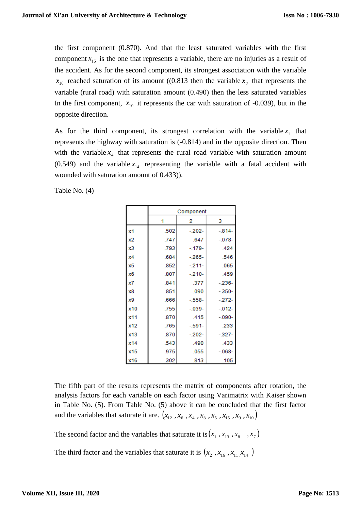the first component (0.870). And that the least saturated variables with the first component  $x_{16}$  is the one that represents a variable, there are no injuries as a result of the accident. As for the second component, its strongest association with the variable  $x_{16}$  reached saturation of its amount ((0.813 then the variable  $x_2$  that represents the variable (rural road) with saturation amount (0.490) then the less saturated variables In the first component,  $x_{10}$  it represents the car with saturation of -0.039), but in the opposite direction.

As for the third component, its strongest correlation with the variable  $x_1$  that represents the highway with saturation is (-0.814) and in the opposite direction. Then with the variable  $x_4$  that represents the rural road variable with saturation amount (0.549) and the variable  $x_{14}$  representing the variable with a fatal accident with wounded with saturation amount of 0.433)).

Table No. (4)

|     | Component |           |          |  |  |  |  |
|-----|-----------|-----------|----------|--|--|--|--|
|     | 1         | 2         | з        |  |  |  |  |
| x1  | .502      | $-202-$   | $-814-$  |  |  |  |  |
| x2  | .747      | .647      | $-078-$  |  |  |  |  |
| xЗ  | .793      | $-179-$   | .424     |  |  |  |  |
| x4  | .684      | $-265-$   | .546     |  |  |  |  |
| x5  | .852      | $-211-$   | .065     |  |  |  |  |
| x6  | .807      | $-210-$   | .459     |  |  |  |  |
| x7  | .841      | .377      | $-236-$  |  |  |  |  |
| x8  | .851      | .090      | $-350-$  |  |  |  |  |
| x9  | .666      | $-558-$   | $-272-$  |  |  |  |  |
| x10 | .755      | $-0.39 -$ | $-012-$  |  |  |  |  |
| x11 | .870      | .415      | $-.090-$ |  |  |  |  |
| x12 | .765      | $-591-$   | .233     |  |  |  |  |
| x13 | .870      | $-202-$   | $-327-$  |  |  |  |  |
| x14 | .543      | .490      | .433     |  |  |  |  |
| x15 | .975      | .055      | $-068 -$ |  |  |  |  |
| x16 | .302      | .813      | .105     |  |  |  |  |

The fifth part of the results represents the matrix of components after rotation, the analysis factors for each variable on each factor using Varimatrix with Kaiser shown in Table No. (5). From Table No. (5) above it can be concluded that the first factor and the variables that saturate it are.  $(x_{12}, x_6, x_4, x_3, x_5, x_{15}, x_9, x_{10})$ 

The second factor and the variables that saturate it is  $(x_1, x_{13}, x_8, x_7)$ 

The third factor and the variables that saturate it is  $(x_2, x_{16}, x_{11}, x_{14})$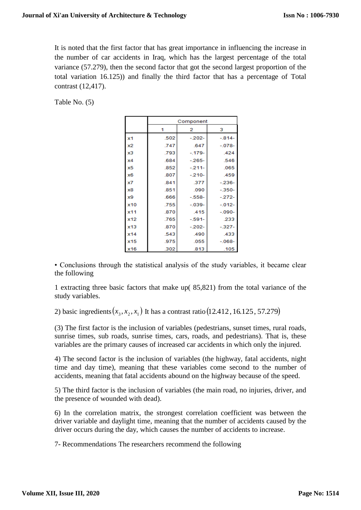It is noted that the first factor that has great importance in influencing the increase in the number of car accidents in Iraq, which has the largest percentage of the total variance (57.279), then the second factor that got the second largest proportion of the total variation 16.125)) and finally the third factor that has a percentage of Total contrast (12,417).

Table No. (5)

|     | Component |          |          |  |  |  |  |
|-----|-----------|----------|----------|--|--|--|--|
|     | 1         | 2        | з        |  |  |  |  |
| x1  | .502      | $-.202-$ | $-814-$  |  |  |  |  |
| x2  | .747      | .647     | $-078-$  |  |  |  |  |
| x3  | .793      | $-179-$  | .424     |  |  |  |  |
| x4  | .684      | $-265-$  | .546     |  |  |  |  |
| x5  | .852      | $-211-$  | .065     |  |  |  |  |
| x6  | .807      | $-210-$  | .459     |  |  |  |  |
| x7  | .841      | .377     | $-236-$  |  |  |  |  |
| x8  | .851      | .090     | $-350-$  |  |  |  |  |
| x9  | .666      | $-.558-$ | $-272-$  |  |  |  |  |
| x10 | .755      | $-.039-$ | $-012-$  |  |  |  |  |
| x11 | .870      | .415     | $-.090-$ |  |  |  |  |
| x12 | .765      | $-.591-$ | .233     |  |  |  |  |
| x13 | .870      | $-202-$  | $-327-$  |  |  |  |  |
| x14 | .543      | .490     | .433     |  |  |  |  |
| x15 | .975      | .055     | $-068-$  |  |  |  |  |
| x16 | .302      | .813     | .105     |  |  |  |  |

• Conclusions through the statistical analysis of the study variables, it became clear the following

1 extracting three basic factors that make up( 85,821) from the total variance of the study variables.

2) basic ingredients  $(x_3, x_2, x_1)$  It has a contrast ratio  $(12.412, 16.125, 57.279)$ 

(3) The first factor is the inclusion of variables (pedestrians, sunset times, rural roads, sunrise times, sub roads, sunrise times, cars, roads, and pedestrians). That is, these variables are the primary causes of increased car accidents in which only the injured.

4) The second factor is the inclusion of variables (the highway, fatal accidents, night time and day time), meaning that these variables come second to the number of accidents, meaning that fatal accidents abound on the highway because of the speed.

5) The third factor is the inclusion of variables (the main road, no injuries, driver, and the presence of wounded with dead).

6) In the correlation matrix, the strongest correlation coefficient was between the driver variable and daylight time, meaning that the number of accidents caused by the driver occurs during the day, which causes the number of accidents to increase.

7- Recommendations The researchers recommend the following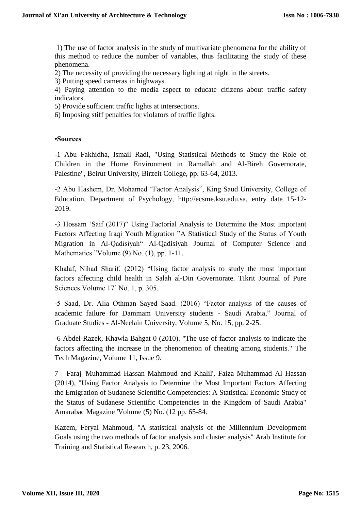1) The use of factor analysis in the study of multivariate phenomena for the ability of this method to reduce the number of variables, thus facilitating the study of these phenomena.

2) The necessity of providing the necessary lighting at night in the streets.

3) Putting speed cameras in highways.

4) Paying attention to the media aspect to educate citizens about traffic safety indicators.

5) Provide sufficient traffic lights at intersections.

6) Imposing stiff penalties for violators of traffic lights.

#### **•Sources**

-1 Abu Fakhidha, Ismail Radi, "Using Statistical Methods to Study the Role of Children in the Home Environment in Ramallah and Al-Bireh Governorate, Palestine", Beirut University, Birzeit College, pp. 63-64, 2013.

-2 Abu Hashem, Dr. Mohamed "Factor Analysis", King Saud University, College of Education, Department of Psychology, http://ecsme.ksu.edu.sa, entry date 15-12- 2019.

-3 Hossam 'Saif (2017)" Using Factorial Analysis to Determine the Most Important Factors Affecting Iraqi Youth Migration "A Statistical Study of the Status of Youth Migration in Al-Qadisiyah" Al-Qadisiyah Journal of Computer Science and Mathematics "Volume (9) No. (1), pp. 1-11.

Khalaf, Nihad Sharif. (2012) "Using factor analysis to study the most important factors affecting child health in Salah al-Din Governorate. Tikrit Journal of Pure Sciences Volume 17' No. 1, p. 305.

-5 Saad, Dr. Alia Othman Sayed Saad. (2016) "Factor analysis of the causes of academic failure for Dammam University students - Saudi Arabia," Journal of Graduate Studies - Al-Neelain University, Volume 5, No. 15, pp. 2-25.

-6 Abdel-Razek, Khawla Bahgat 0 (2010). "The use of factor analysis to indicate the factors affecting the increase in the phenomenon of cheating among students." The Tech Magazine, Volume 11, Issue 9.

7 - Faraj 'Muhammad Hassan Mahmoud and Khalil', Faiza Muhammad Al Hassan (2014), "Using Factor Analysis to Determine the Most Important Factors Affecting the Emigration of Sudanese Scientific Competencies: A Statistical Economic Study of the Status of Sudanese Scientific Competencies in the Kingdom of Saudi Arabia" Amarabac Magazine 'Volume (5) No. (12 pp. 65-84.

Kazem, Feryal Mahmoud, "A statistical analysis of the Millennium Development Goals using the two methods of factor analysis and cluster analysis" Arab Institute for Training and Statistical Research, p. 23, 2006.